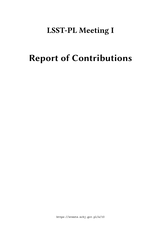# **LSST-PL Meeting I**

# **Report of Contributions**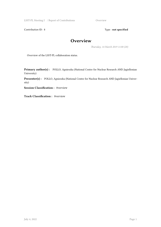LSST-PL Meeting I / Report of Contributions Overview

Contribution ID : **1** Type : **not specified** 

#### **Overview**

*Thursday, 14 March 2019 11:00 (20)*

Overview of the LSST-PL collaboration status.

**Primary author(s) :** POLLO, Agnieszka (National Centre for Nuclear Research AND Jagiellonian University)

**Presenter(s) :** POLLO, Agnieszka (National Centre for Nuclear Research AND Jagiellonian University)

**Session Classification :** 0verview

**Track Classification :** 0verview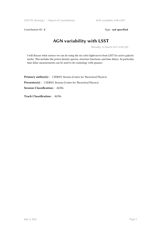LSST-PL Meeting I / Report of Contributions AGN variability with LSST

Contribution ID : 2 Type : **not specified** 

# **AGN variability with LSST**

*Thursday, 14 March 2019 12:00 (20)*

I will discuss what science we can do using the six-color lightcurves from LSST for active galactic nuclei. This includes the power density spectra, structure functions, and time delays. In particular, time delay measurements can be used to do cosmology with quasars.

Primary author(s): CZERNY, Bozena (Center for Theoretical Physics) Presenter(s) : CZERNY, Bozena (Center for Theoretical Physics) **Session Classification :** AGNs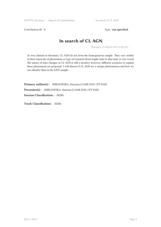Contribution ID: 3 Type: **not specified** 

## **In search of CL AGN**

*Thursday, 14 March 2019 12:30 (10)*

As was claimed in literature, CL AGN do not form the homogeneous sample. They vary widely in their timescale of phenomena or type of transient (from bright-state to dim-state or vice versa). The nature of state changes in CL AGN is still a mystery, however, different scenarios to explain these phenomena are proposed. I will discuss if CL AGN are a unique phenomenon and how we can identify them in the LSST sample.

**Primary author(s) :** SNIEGOWSKA, Marzena (CAMK PAN, CFT PAN) **Presenter(s) :** SNIEGOWSKA, Marzena (CAMK PAN, CFT PAN)

**Session Classification :** AGNs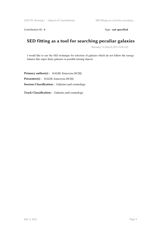Contribution ID : 4 Type : **not specified** 

# **SED fitting as a tool for searching peculiar galaxies**

*Thursday, 14 March 2019 15:40 (10)*

I would like to use the SED technique for selection of galaxies which do not follow the energy balance like super dusty galaxies or possible lensing objects.

**Primary author(s) :** MALEK, Katarzyna (NCBJ) **Presenter(s) :** MALEK, Katarzyna (NCBJ) **Session Classification :** Galaxies and cosmology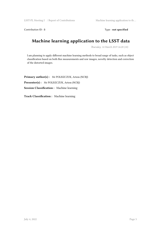Contribution ID : 5 Type : **not specified** 

# **Machine learning application to the LSST data**

*Thursday, 14 March 2019 16:20 (10)*

I am planning to apply different machine learning methods to broad range of tasks, such as object classification based on both flux measurements and raw images, novelty detection and correction of the distorted images.

**Primary author(s) :** Mr POLISZCZUK, Artem (NCBJ) **Presenter(s) :** Mr POLISZCZUK, Artem (NCBJ) **Session Classification :** Machine learning

**Track Classification :** Machine learning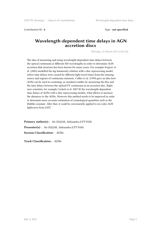Contribution ID : **6** Type : **not specified**

#### **Wavelength-dependent time delays in AGN accretion discs**

*Thursday, 14 March 2019 12:20 (10)*

The idea of measuring and using wavelength-dependent time delays between the optical continuum at different EM wavelengths in order to determine AGN accretion disk structure has been known for many years. For example Sergeev et al. (2005) modelled the lag-luminosity relation with a disc reprocessing model, where time delays were caused by different light travel times from the ionizing source and regions of continuum emission. Collier et al. (1999) gave an idea how AGNs can be used in cosmology as standard candles by measuring the flux and the time delays between the optical/UV continuum in an accretion disc. Right now scientists, for example Cackett et al. 2007 fit the wavelength-dependent time delays of AGNs with a disc reprocessing models, what allows to measure the distances to the AGNs. However this method needs to be improved in order to determine more accurate estimation of cosmological quantities such as the Hubble constant. After that, it could be conveniently applied to six-color AGN lightcuves from LSST.

**Primary author(s) :** Ms OLEJAK, Aleksandra (CFT PAN) **Presenter(s) :** Ms OLEJAK, Aleksandra (CFT PAN) **Session Classification :** AGNs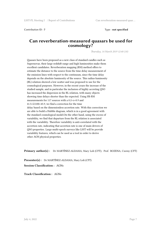Contribution ID : **7** Type : **not specified**

#### **Can reverberation-measured quasars be used for cosmology?**

*Thursday, 14 March 2019 12:40 (10)*

Quasars have been proposed as a new class of standard candles such as Supernovae, their large redshift range and high luminosities make them excellent candidates. Reverberation mapping (RM) method offers to estimate the distance to the source from the time delay measurement of the emission lines with respect to the continuum, since the time delay depends on the absolute luminosity of the source. This radius-luminosity (RL) relation showed a low scatter and was proposed to use for the cosmological purposes. However, in the recent years the increase of the studied sample, and in particular the inclusion of highly accreting QSO has increased the dispersion in the RL relation, with many objects showing time delays shorter than the expected. Using Hb RM measurements for 117 sources with a 0.2<z<0.9 and 41.5<L5100<45.9, we find a correction for the time delay based on the dimensionless accretion rate. With this correction we are able to build a Hubble diagram, which is in a good agreement with the standard cosmological model.On the other hand, using the excess of variability, we find that departure from the RL relation is associated with the variability. Therefore variability is anti-correlated with the accretion rate, indicating that accretion rate is one of main drivers of QSO properties. Large multi-epoch surveys like LSST will be provide variability features, which can be used as a tool in order to derive other AGN physical properties.

**Primary author(s) :** Dr MARTÍNEZ-ALDAMA, Mary Loli (CFT); Prof. BOZENA, Czerny (CFT)

**Presenter(s) :** Dr MARTÍNEZ-ALDAMA, Mary Loli (CFT)

**Session Classification :** AGNs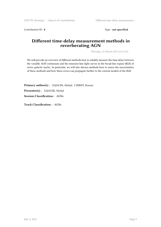Contribution ID : 8 Type : **not specified** 

#### **Different time-delay measurement methods in** reverberating AGN

*Thursday, 14 March 2019 14:15 (10)*

We will provide an overview of different methods how to reliably measure the time delay between the variable AGN continuum and the emission-line light curves in the broad line region (BLR) of active galactic nuclei. In particular, we will also discuss methods how to assess the uncertainties of these methods and how these errors can propagate further to the current models of the BLR.

**Primary author(s) :** ZAJACEK, Michal; CZERNY, Bozena

**Presenter(s) :** ZAJACEK, Michal

**Session Classification :** AGNs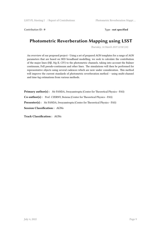Contribution ID : **9** Type : **not specified**

# **Photometric Reverberation Mapping using LSST**

*Thursday, 14 March 2019 12:50 (10)*

An overview of our proposed project - Using a set of prepared AGN templates for a range of AGN parameters that are based on SED broadband modelling, we seek to calculate the contribution of the major lines (Hβ, Mg II, CIV) to the photometric channels, taking into account the Balmer continuum, FeII pseudo-continuum and other lines. The simulations will then be performed for representative objects using several cadences which are now under consideration. This method will improve the current standards of photometric reverberation method – using multi-channel and time-lag estimations from various methods.

**Primary author(s) :** Mr PANDA, Swayamtrupta (Center for Theoretical Physics - PAS) **Co-author(s) :** Prof. CZERNY, Bożena (Center for Theoretical Physics - PAS) **Presenter(s) :** Mr PANDA, Swayamtrupta (Center for Theoretical Physics - PAS) **Session Classification :** AGNs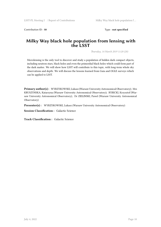Contribution ID : 10 Type : **not specified** 

#### **Milky Way black hole population from lensing with the LSST**

*Thursday, 14 March 2019 11:20 (20)*

Microlensing is the only tool to discover and study a population of hidden dark compact objects, including neutron stars, black holes and even the primordial black holes which could form part of the dark matter. We will show how LSST will contribute to this topic, with long-term whole sky observations and depth. We will discuss the lessons learned from Gaia and OGLE surveys which can be applied to LSST.

**Primary author(s) :** WYRZYKOWSKI, Lukasz (Warsaw University Astronomical Observatory); Mrs KRUSZYNSKA, Katarzyna (Warsaw University Astronomical Observatory); RYBICKI, Krzysztof (Warsaw University Astronomical Observatory); Dr ZIELINSKI, Pawel (Warsaw University Astronomical Observatory)

Presenter(s) : WYRZYKOWSKI, Lukasz (Warsaw University Astronomical Observatory)

**Session Classification :** Galactic Science

**Track Classification :** Galactic Science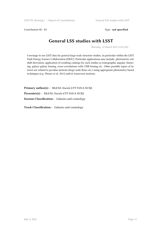Contribution ID : **11** Type : **not specified** 

### **General LSS studies with LSST**

*Thursday, 14 March 2019 15:20 (20)*

I envisage to use LSST data for general large-scale structure studies, in particular within the LSST Dark Energy Science Collaboration (DESC). Particular applications may include: photometric redshift derivation, application of resulting catalogs for such studies as tomographic angular clustering, galaxy-galaxy lensing, cross-correlations with CMB lensing etc. Other possible topics of interest are related to peculiar motions (large-scale flows etc.) using appropriate photometry-based techniques (e.g. Nusser et al. 2011) and/or transverse motions.

**Primary author(s) :** BILICKI, Maciek (CFT PAN & NCBJ) **Presenter(s) :** BILICKI, Maciek (CFT PAN & NCBJ) **Session Classification :** Galaxies and cosmology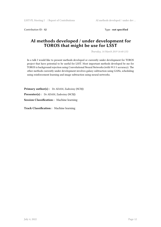Contribution ID : 12 Type : **not specified** 

#### **AI methods developed / under development for TOROS that might be use for LSST**

*Thursday, 14 March 2019 16:40 (15)*

In a talk I would like to present methods developed or currently under development for TOROS project that have potential to be useful for LSST. Most important methods developed be me for TOROS is background rejection using Convolutional Neural Networks (with 99.5 % accuracy). The other methods currently under development involves galaxy subtraction using GANs, scheduling using reinforcement learning and image subtraction using neural networks.

**Primary author(s) :** Dr ADAM, Zadrożny (NCBJ) **Presenter(s) :** Dr ADAM, Zadrożny (NCBJ) **Session Classification :** Machine learning

**Track Classification :** Machine learning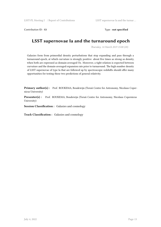Contribution ID : 13 Type : **not specified** 

#### **LSST supernovae Ia and the turnaround epoch**

*Thursday, 14 March 2019 15:00 (20)*

Galaxies form from primordial density perturbations that stop expanding and pass through a turnaround epoch, at which curvature is strongly positive: about five times as strong as density, when both are expressed as domain-averaged Ωs. Moreover, a tight relation is expected between curvature and the domain-averaged expansion rate prior to turnaround. The high number density of LSST supernovae of type Ia that are followed up by spectroscopic redshifts should offer many opportunities for testing these two predictions of general relativity.

Primary author(s) : Prof. ROUKEMA, Boudewijn (Toruń Centre for Astronomy, Nicolaus Copernicus University)

**Presenter(s) :** Prof. ROUKEMA, Boudewijn (Toruń Centre for Astronomy, Nicolaus Copernicus University)

**Session Classification :** Galaxies and cosmology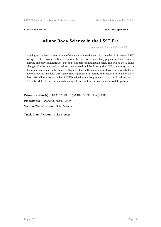Contribution ID : **14** Type : **not specified**

# **Minor Body Science in the LSST Era**

*Thursday, 14 March 2019 14:40 (20)*

Cataloging the Solar System is one of the main science themes that drive the LSST project. LSST is expected to discover ten times more objects from every minor body population than currently known, and provide hundreds of flux and color data for individual bodies. This will be a total game changer. On the one hand, transformative research will be done by the LSST community, but on the other hand, small body science will quickly fade in the communities having no access to these new discoveries and data. Our team wishes to join the LSST family and explore LSST data on every level. We will discuss examples of LSST-enabled minor body science based on (i) realtime alerts, (ii) daily orbit releases, (iii) annual catalog releases, and (iv) our own, customized deep stacks.

**Primary author(s) :** DRAHUS, Michał (OA UJ); GUZIK, Piotr (OA UJ) **Presenter(s) :** DRAHUS, Michał (OA UJ)

**Session Classification :** Solar System

**Track Classification :** Solar System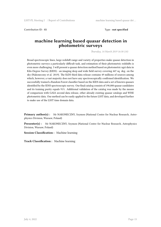Contribution ID : **15** Type : **not specified**

#### **machine learning based quasar detection in photometric surveys**

*Thursday, 14 March 2019 16:30 (10)*

Broad spectroscopic lines, large redshift range and variety of properties make quasar detection in photometric surveys a particularly difficult task, and estimation of their photometric redshifts is even more challenging. I will present a quasar detection method based on photometric ugri data in Kilo-Degree Survey (KIDS) - an imaging deep and wide field survey covering 447 sq. deg. on the sky (Nakoneczny et al. 2019). The KiDS third data release contains 49 millions of sources among which, however, a vast majority does not have any spectroscopically confirmed identification. We successfully trained a Random Forest classifier based on the KIDS data and a set of known quasars identified by the SDSS spectroscopic survey. Our final catalog consists of 190,000 quasar candidates and its training purity equals 91%. Additional validation of the catalog was made by the means of comparison with GAIA second data release, other already existing quasar catalogs and WISE photometric data. Our method can be easily applied to the future LSST data, and developed further to make use of the LSST time domain data.

**Primary author(s) :** Mr NAKONECZNY, Szymon (National Centre for Nuclear Research, Astrophysics Division, Warsaw, Poland)

**Presenter(s) :** Mr NAKONECZNY, Szymon (National Centre for Nuclear Research, Astrophysics Division, Warsaw, Poland)

**Session Classification :** Machine learning

**Track Classification :** Machine learning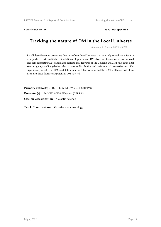Contribution ID : 16 Type : **not specified** 

## **Tracking the nature of DM in the Local Universe**

*Thursday, 14 March 2019 11:40 (20)*

I shall describe some promising features of our Local Universe that can help reveal some feature of a particle DM candidate. Simulations of galaxy and DM structure formation of warm, cold and self-interacting DM candidates indicate that features of the Galactic and M31 halo like: tidal streams gaps, satellite galaxies orbit parameter distribution and their internal properties can differ significantly in different DM candidate scenarios. Observations that the LSST will foster will allow us to use these features as potential DM tale-tell.

**Primary author(s) :** Dr HELLWING, Wojciech (CTF PAS) **Presenter(s) :** Dr HELLWING, Wojciech (CTF PAS) **Session Classification :** Galactic Science